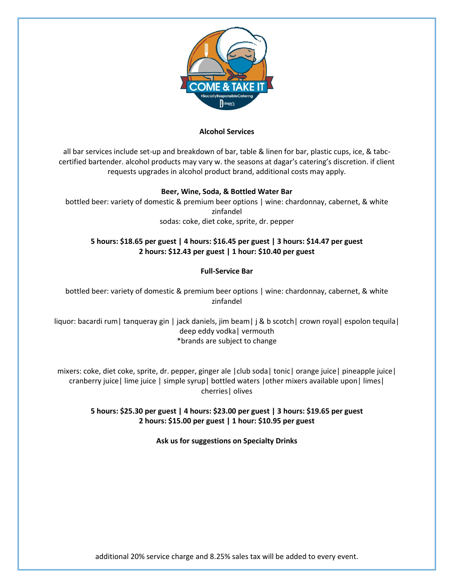

#### **Alcohol Services**

all bar services include set-up and breakdown of bar, table & linen for bar, plastic cups, ice, & tabccertified bartender. alcohol products may vary w. the seasons at dagar's catering's discretion. if client requests upgrades in alcohol product brand, additional costs may apply.

### **Beer, Wine, Soda, & Bottled Water Bar**

bottled beer: variety of domestic & premium beer options | wine: chardonnay, cabernet, & white zinfandel sodas: coke, diet coke, sprite, dr. pepper

# **5 hours: \$18.65 per guest | 4 hours: \$16.45 per guest | 3 hours: \$14.47 per guest 2 hours: \$12.43 per guest | 1 hour: \$10.40 per guest**

### **Full-Service Bar**

bottled beer: variety of domestic & premium beer options | wine: chardonnay, cabernet, & white zinfandel

liquor: bacardi rum| tanqueray gin | jack daniels, jim beam| j & b scotch| crown royal| espolon tequila| deep eddy vodka| vermouth \*brands are subject to change

mixers: coke, diet coke, sprite, dr. pepper, ginger ale |club soda| tonic| orange juice| pineapple juice| cranberry juice| lime juice | simple syrup| bottled waters |other mixers available upon| limes| cherries| olives

### **5 hours: \$25.30 per guest | 4 hours: \$23.00 per guest | 3 hours: \$19.65 per guest 2 hours: \$15.00 per guest | 1 hour: \$10.95 per guest**

**Ask us for suggestions on Specialty Drinks**

additional 20% service charge and 8.25% sales tax will be added to every event.